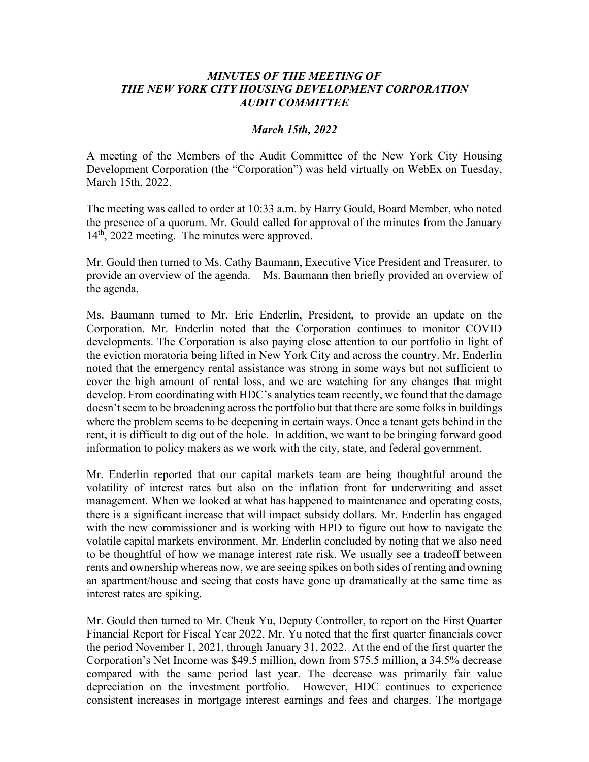# *MINUTES OF THE MEETING OF THE NEW YORK CITY HOUSING DEVELOPMENT CORPORATION AUDIT COMMITTEE*

## *March 15th, 2022*

A meeting of the Members of the Audit Committee of the New York City Housing Development Corporation (the "Corporation") was held virtually on WebEx on Tuesday, March 15th, 2022.

The meeting was called to order at 10:33 a.m. by Harry Gould, Board Member, who noted the presence of a quorum. Mr. Gould called for approval of the minutes from the January 14th, 2022 meeting. The minutes were approved.

Mr. Gould then turned to Ms. Cathy Baumann, Executive Vice President and Treasurer, to provide an overview of the agenda. Ms. Baumann then briefly provided an overview of the agenda.

Ms. Baumann turned to Mr. Eric Enderlin, President, to provide an update on the Corporation. Mr. Enderlin noted that the Corporation continues to monitor COVID developments. The Corporation is also paying close attention to our portfolio in light of the eviction moratoria being lifted in New York City and across the country. Mr. Enderlin noted that the emergency rental assistance was strong in some ways but not sufficient to cover the high amount of rental loss, and we are watching for any changes that might develop. From coordinating with HDC's analytics team recently, we found that the damage doesn't seem to be broadening across the portfolio but that there are some folks in buildings where the problem seems to be deepening in certain ways. Once a tenant gets behind in the rent, it is difficult to dig out of the hole. In addition, we want to be bringing forward good information to policy makers as we work with the city, state, and federal government.

Mr. Enderlin reported that our capital markets team are being thoughtful around the volatility of interest rates but also on the inflation front for underwriting and asset management. When we looked at what has happened to maintenance and operating costs, there is a significant increase that will impact subsidy dollars. Mr. Enderlin has engaged with the new commissioner and is working with HPD to figure out how to navigate the volatile capital markets environment. Mr. Enderlin concluded by noting that we also need to be thoughtful of how we manage interest rate risk. We usually see a tradeoff between rents and ownership whereas now, we are seeing spikes on both sides of renting and owning an apartment/house and seeing that costs have gone up dramatically at the same time as interest rates are spiking.

Mr. Gould then turned to Mr. Cheuk Yu, Deputy Controller, to report on the First Quarter Financial Report for Fiscal Year 2022. Mr. Yu noted that the first quarter financials cover the period November 1, 2021, through January 31, 2022. At the end of the first quarter the Corporation's Net Income was \$49.5 million, down from \$75.5 million, a 34.5% decrease compared with the same period last year. The decrease was primarily fair value depreciation on the investment portfolio. However, HDC continues to experience consistent increases in mortgage interest earnings and fees and charges. The mortgage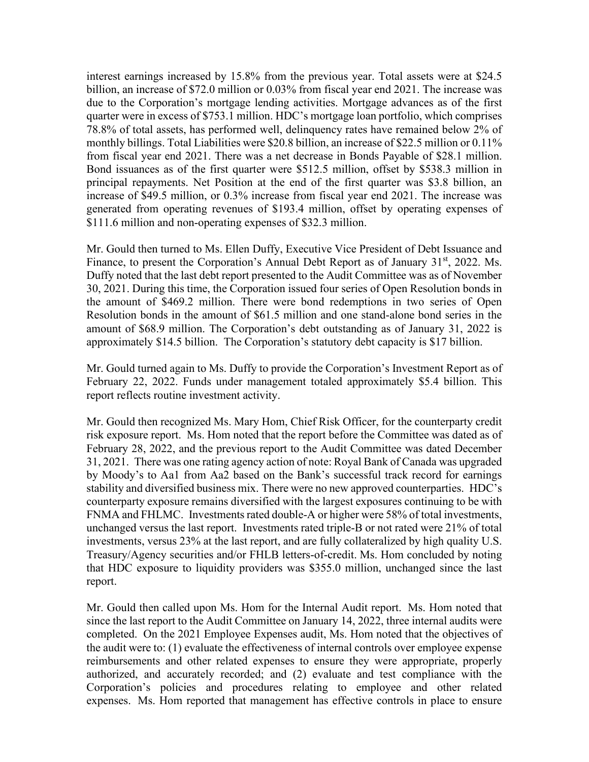interest earnings increased by 15.8% from the previous year. Total assets were at \$24.5 billion, an increase of \$72.0 million or 0.03% from fiscal year end 2021. The increase was due to the Corporation's mortgage lending activities. Mortgage advances as of the first quarter were in excess of \$753.1 million. HDC's mortgage loan portfolio, which comprises 78.8% of total assets, has performed well, delinquency rates have remained below 2% of monthly billings. Total Liabilities were \$20.8 billion, an increase of \$22.5 million or 0.11% from fiscal year end 2021. There was a net decrease in Bonds Payable of \$28.1 million. Bond issuances as of the first quarter were \$512.5 million, offset by \$538.3 million in principal repayments. Net Position at the end of the first quarter was \$3.8 billion, an increase of \$49.5 million, or 0.3% increase from fiscal year end 2021. The increase was generated from operating revenues of \$193.4 million, offset by operating expenses of \$111.6 million and non-operating expenses of \$32.3 million.

Mr. Gould then turned to Ms. Ellen Duffy, Executive Vice President of Debt Issuance and Finance, to present the Corporation's Annual Debt Report as of January 31<sup>st</sup>, 2022. Ms. Duffy noted that the last debt report presented to the Audit Committee was as of November 30, 2021. During this time, the Corporation issued four series of Open Resolution bonds in the amount of \$469.2 million. There were bond redemptions in two series of Open Resolution bonds in the amount of \$61.5 million and one stand-alone bond series in the amount of \$68.9 million. The Corporation's debt outstanding as of January 31, 2022 is approximately \$14.5 billion. The Corporation's statutory debt capacity is \$17 billion.

Mr. Gould turned again to Ms. Duffy to provide the Corporation's Investment Report as of February 22, 2022. Funds under management totaled approximately \$5.4 billion. This report reflects routine investment activity.

Mr. Gould then recognized Ms. Mary Hom, Chief Risk Officer, for the counterparty credit risk exposure report. Ms. Hom noted that the report before the Committee was dated as of February 28, 2022, and the previous report to the Audit Committee was dated December 31, 2021. There was one rating agency action of note: Royal Bank of Canada was upgraded by Moody's to Aa1 from Aa2 based on the Bank's successful track record for earnings stability and diversified business mix. There were no new approved counterparties. HDC's counterparty exposure remains diversified with the largest exposures continuing to be with FNMA and FHLMC. Investments rated double-A or higher were 58% of total investments, unchanged versus the last report. Investments rated triple-B or not rated were 21% of total investments, versus 23% at the last report, and are fully collateralized by high quality U.S. Treasury/Agency securities and/or FHLB letters-of-credit. Ms. Hom concluded by noting that HDC exposure to liquidity providers was \$355.0 million, unchanged since the last report.

Mr. Gould then called upon Ms. Hom for the Internal Audit report. Ms. Hom noted that since the last report to the Audit Committee on January 14, 2022, three internal audits were completed. On the 2021 Employee Expenses audit, Ms. Hom noted that the objectives of the audit were to: (1) evaluate the effectiveness of internal controls over employee expense reimbursements and other related expenses to ensure they were appropriate, properly authorized, and accurately recorded; and (2) evaluate and test compliance with the Corporation's policies and procedures relating to employee and other related expenses. Ms. Hom reported that management has effective controls in place to ensure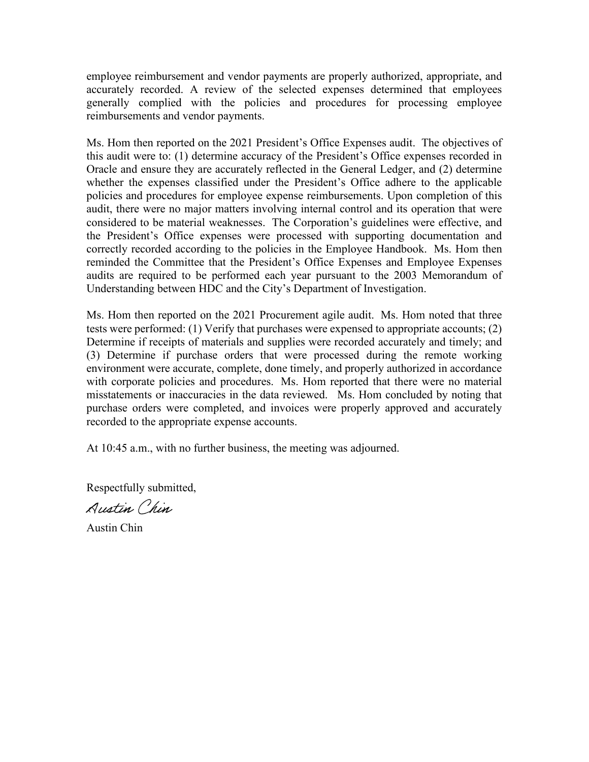employee reimbursement and vendor payments are properly authorized, appropriate, and accurately recorded. A review of the selected expenses determined that employees generally complied with the policies and procedures for processing employee reimbursements and vendor payments.

Ms. Hom then reported on the 2021 President's Office Expenses audit. The objectives of this audit were to: (1) determine accuracy of the President's Office expenses recorded in Oracle and ensure they are accurately reflected in the General Ledger, and (2) determine whether the expenses classified under the President's Office adhere to the applicable policies and procedures for employee expense reimbursements. Upon completion of this audit, there were no major matters involving internal control and its operation that were considered to be material weaknesses. The Corporation's guidelines were effective, and the President's Office expenses were processed with supporting documentation and correctly recorded according to the policies in the Employee Handbook. Ms. Hom then reminded the Committee that the President's Office Expenses and Employee Expenses audits are required to be performed each year pursuant to the 2003 Memorandum of Understanding between HDC and the City's Department of Investigation.

Ms. Hom then reported on the 2021 Procurement agile audit. Ms. Hom noted that three tests were performed: (1) Verify that purchases were expensed to appropriate accounts; (2) Determine if receipts of materials and supplies were recorded accurately and timely; and (3) Determine if purchase orders that were processed during the remote working environment were accurate, complete, done timely, and properly authorized in accordance with corporate policies and procedures. Ms. Hom reported that there were no material misstatements or inaccuracies in the data reviewed. Ms. Hom concluded by noting that purchase orders were completed, and invoices were properly approved and accurately recorded to the appropriate expense accounts.

At 10:45 a.m., with no further business, the meeting was adjourned.

Respectfully submitted,

Austin Chin

Austin Chin